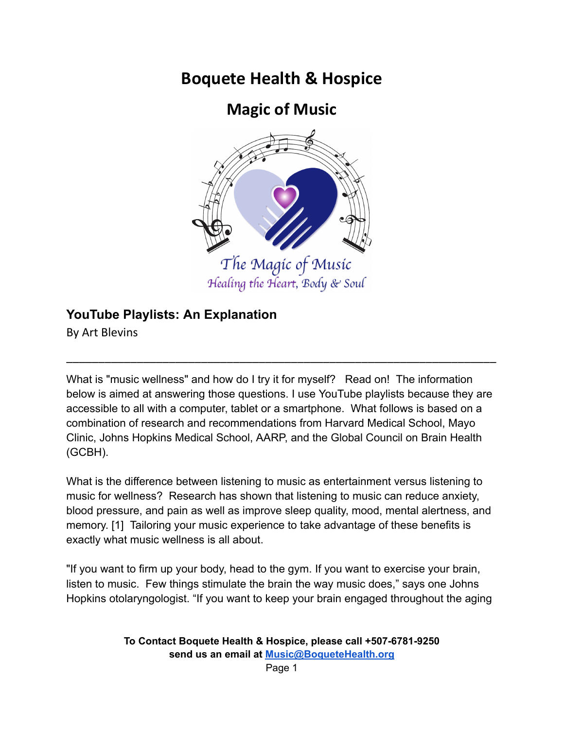# **Boquete Health & Hospice**

# **Magic of Music**



Healing the Heart, Body & Soul

# **YouTube Playlists: An Explanation**

By Art Blevins

What is "music wellness" and how do I try it for myself? Read on! The information below is aimed at answering those questions. I use YouTube playlists because they are accessible to all with a computer, tablet or a smartphone. What follows is based on a combination of research and recommendations from Harvard Medical School, Mayo Clinic, Johns Hopkins Medical School, AARP, and the Global Council on Brain Health (GCBH).

\_\_\_\_\_\_\_\_\_\_\_\_\_\_\_\_\_\_\_\_\_\_\_\_\_\_\_\_\_\_\_\_\_\_\_\_\_\_\_\_\_\_\_\_\_\_\_\_\_\_\_\_\_\_\_\_\_\_\_\_\_\_\_\_\_\_\_

What is the difference between listening to music as entertainment versus listening to music for wellness? Research has shown that listening to music can reduce anxiety, blood pressure, and pain as well as improve sleep quality, mood, mental alertness, and memory. [1] Tailoring your music experience to take advantage of these benefits is exactly what music wellness is all about.

"If you want to firm up your body, head to the gym. If you want to exercise your brain, listen to music. Few things stimulate the brain the way music does," says one Johns Hopkins otolaryngologist. "If you want to keep your brain engaged throughout the aging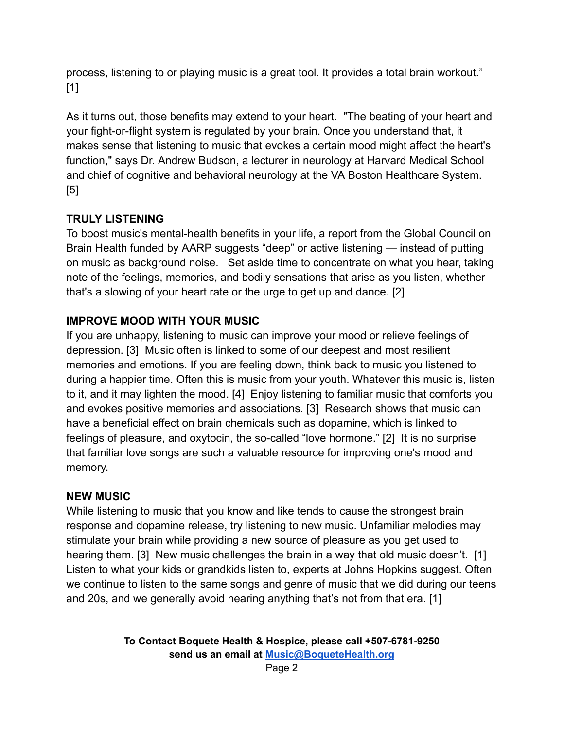process, listening to or playing music is a great tool. It provides a total brain workout." [1]

As it turns out, those benefits may extend to your heart. "The beating of your heart and your fight-or-flight system is regulated by your brain. Once you understand that, it makes sense that listening to music that evokes a certain mood might affect the heart's function," says Dr. Andrew Budson, a lecturer in neurology at Harvard Medical School and chief of cognitive and behavioral neurology at the VA Boston Healthcare System. [5]

# **TRULY LISTENING**

To boost music's mental-health benefits in your life, a report from the Global Council on Brain Health funded by AARP suggests "deep" or active listening — instead of putting on music as background noise. Set aside time to concentrate on what you hear, taking note of the feelings, memories, and bodily sensations that arise as you listen, whether that's a slowing of your heart rate or the urge to get up and dance. [2]

# **IMPROVE MOOD WITH YOUR MUSIC**

If you are unhappy, listening to music can improve your mood or relieve feelings of depression. [3] Music often is linked to some of our deepest and most resilient memories and emotions. If you are feeling down, think back to music you listened to during a happier time. Often this is music from your youth. Whatever this music is, listen to it, and it may lighten the mood. [4] Enjoy listening to familiar music that comforts you and evokes positive memories and associations. [3] Research shows that music can have a beneficial effect on brain chemicals such as dopamine, which is linked to feelings of pleasure, and oxytocin, the so-called "love hormone." [2] It is no surprise that familiar love songs are such a valuable resource for improving one's mood and memory.

# **NEW MUSIC**

While listening to music that you know and like tends to cause the strongest brain response and dopamine release, try listening to new music. Unfamiliar melodies may stimulate your brain while providing a new source of pleasure as you get used to hearing them. [3] New music challenges the brain in a way that old music doesn't. [1] Listen to what your kids or grandkids listen to, experts at Johns Hopkins suggest. Often we continue to listen to the same songs and genre of music that we did during our teens and 20s, and we generally avoid hearing anything that's not from that era. [1]

> **To Contact Boquete Health & Hospice, please call +507-6781-9250 send us an email at [Music@BoqueteHealth.org](mailto:Music@boquetehospice.org)**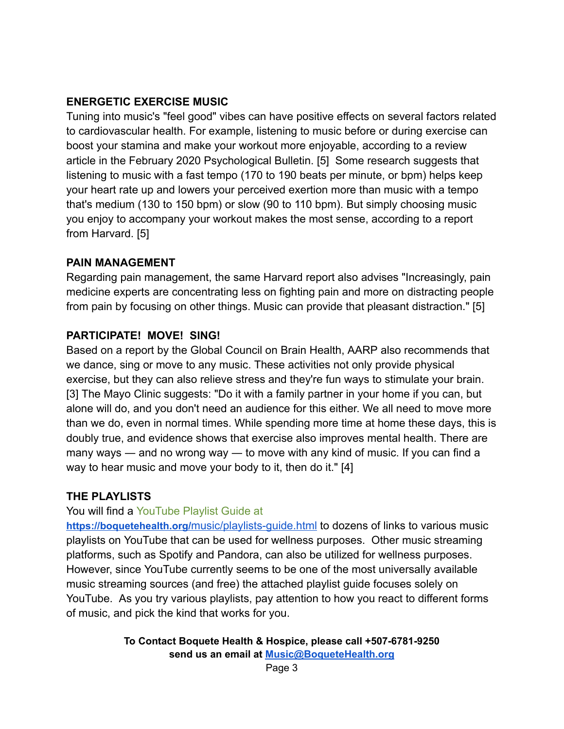#### **ENERGETIC EXERCISE MUSIC**

Tuning into music's "feel good" vibes can have positive effects on several factors related to cardiovascular health. For example, listening to music before or during exercise can boost your stamina and make your workout more enjoyable, according to a review article in the February 2020 Psychological Bulletin. [5] Some research suggests that listening to music with a fast tempo (170 to 190 beats per minute, or bpm) helps keep your heart rate up and lowers your perceived exertion more than music with a tempo that's medium (130 to 150 bpm) or slow (90 to 110 bpm). But simply choosing music you enjoy to accompany your workout makes the most sense, according to a report from Harvard. [5]

#### **PAIN MANAGEMENT**

Regarding pain management, the same Harvard report also advises "Increasingly, pain medicine experts are concentrating less on fighting pain and more on distracting people from pain by focusing on other things. Music can provide that pleasant distraction." [5]

# **PARTICIPATE! MOVE! SING!**

Based on a report by the Global Council on Brain Health, AARP also recommends that we dance, sing or move to any music. These activities not only provide physical exercise, but they can also relieve stress and they're fun ways to stimulate your brain. [3] The Mayo Clinic suggests: "Do it with a family partner in your home if you can, but alone will do, and you don't need an audience for this either. We all need to move more than we do, even in normal times. While spending more time at home these days, this is doubly true, and evidence shows that exercise also improves mental health. There are many ways — and no wrong way — to move with any kind of music. If you can find a way to hear music and move your body to it, then do it." [4]

# **THE PLAYLISTS**

You will find a YouTube Playlist Guide at

**[https://boquetehealth.org/](https://boquetehealth.org/music/playlists)**music/playlists-guide.html to dozens of links to various music playlists on YouTube that can be used for wellness purposes. Other music streaming platforms, such as Spotify and Pandora, can also be utilized for wellness purposes. However, since YouTube currently seems to be one of the most universally available music streaming sources (and free) the attached playlist guide focuses solely on YouTube. As you try various playlists, pay attention to how you react to different forms of music, and pick the kind that works for you.

> **To Contact Boquete Health & Hospice, please call +507-6781-9250 send us an email at [Music@BoqueteHealth.org](mailto:Music@boquetehospice.org)**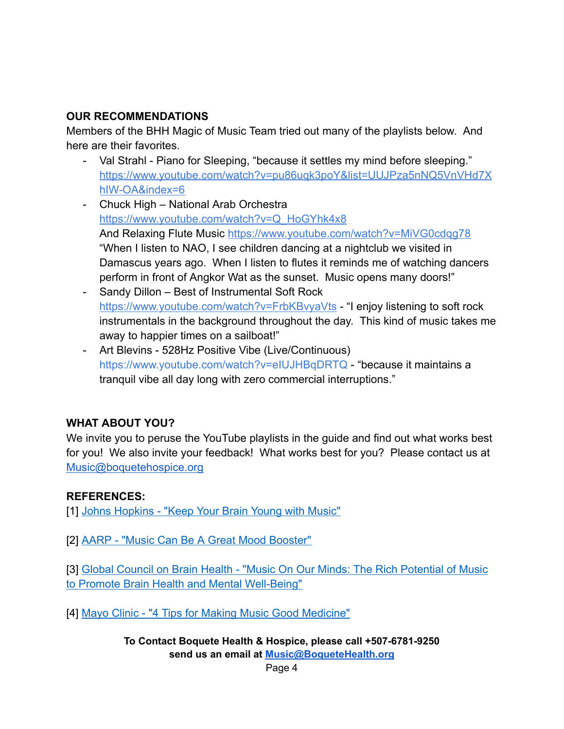### **OUR RECOMMENDATIONS**

Members of the BHH Magic of Music Team tried out many of the playlists below. And here are their favorites.

- Val Strahl Piano for Sleeping, "because it settles my mind before sleeping." https://www.youtube.com/watch?v=pu86uqk3poY&list=UUJPza5nNQ5VnVHd7X hIW-OA&index=6
- Chuck High National Arab Orchestra https://www.youtube.com/watch?v=Q\_HoGYhk4x8 And Relaxing Flute Music <https://www.youtube.com/watch?v=MiVG0cdqg78> "When I listen to NAO, I see children dancing at a nightclub we visited in Damascus years ago. When I listen to flutes it reminds me of watching dancers perform in front of Angkor Wat as the sunset. Music opens many doors!"
- Sandy Dillon Best of Instrumental Soft Rock https://www.youtube.com/watch?v=FrbKBvyaVts - "I enjoy listening to soft rock instrumentals in the background throughout the day. This kind of music takes me away to happier times on a sailboat!"
- Art Blevins 528Hz Positive Vibe (Live/Continuous) https://www.youtube.com/watch?v=eIUJHBqDRTQ - "because it maintains a tranquil vibe all day long with zero commercial interruptions."

# **WHAT ABOUT YOU?**

We invite you to peruse the YouTube playlists in the guide and find out what works best for you! We also invite your feedback! What works best for you? Please contact us at [Music@boquetehospice.org](mailto:Music@boquetehospice.org)

# **REFERENCES:**

[1] [Johns Hopkins - "Keep Your Brain Young with Music"](https://www.hopkinsmedicine.org/health/wellness-and-prevention/keep-your-brain-young-with-music)

[2] [AARP - "Music Can Be A Great Mood Booster"](https://www.aarp.org/health/brain-health/info-2020/music-mental-health.html)

[3] [Global Council on Brain Health - "Music On Our](https://www.aarp.org/content/dam/aarp/health/brain_health/2020/06/gcbh-music-report-english.doi.10.26419-2Fpia.00103.001.pdf) Minds: The Rich Potential of Music [to Promote Brain Health and Mental Well-Being"](https://www.aarp.org/content/dam/aarp/health/brain_health/2020/06/gcbh-music-report-english.doi.10.26419-2Fpia.00103.001.pdf)

[4] [Mayo Clinic - "4 Tips for Making Music Good Medicine"](https://newsnetwork.mayoclinic.org/discussion/4-tips-for-making-music-good-medicine/)

**To Contact Boquete Health & Hospice, please call +507-6781-9250 send us an email at [Music@BoqueteHealth.org](mailto:Music@boquetehospice.org)**